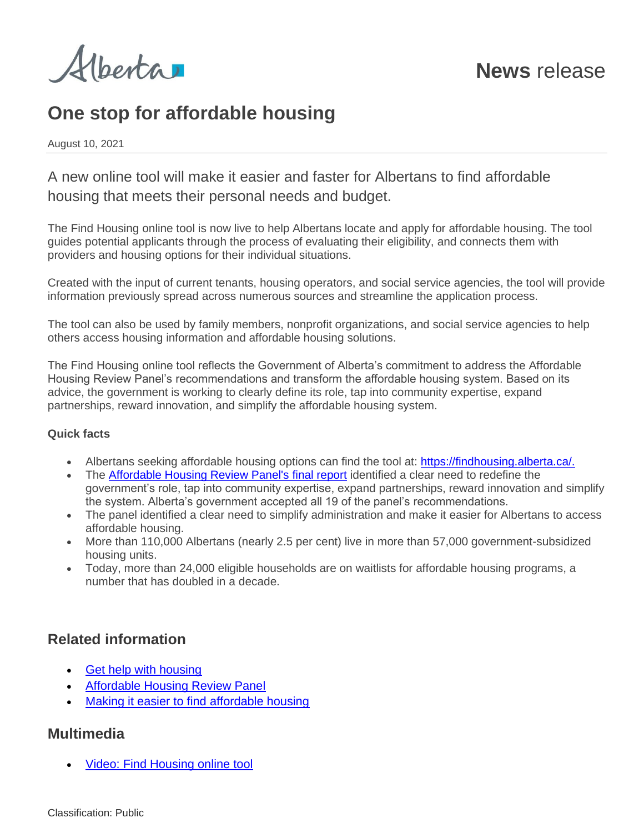Alberta

# **One stop for affordable housing**

August 10, 2021

A new online tool will make it easier and faster for Albertans to find affordable housing that meets their personal needs and budget.

The Find Housing online tool is now live to help Albertans locate and apply for affordable housing. The tool guides potential applicants through the process of evaluating their eligibility, and connects them with providers and housing options for their individual situations.

Created with the input of current tenants, housing operators, and social service agencies, the tool will provide information previously spread across numerous sources and streamline the application process.

The tool can also be used by family members, nonprofit organizations, and social service agencies to help others access housing information and affordable housing solutions.

The Find Housing online tool reflects the Government of Alberta's commitment to address the Affordable Housing Review Panel's recommendations and transform the affordable housing system. Based on its advice, the government is working to clearly define its role, tap into community expertise, expand partnerships, reward innovation, and simplify the affordable housing system.

#### **Quick facts**

- Albertans seeking affordable housing options can find the tool at: [https://findhousing.alberta.ca/.](https://findhousing.alberta.ca/)
- The [Affordable Housing Review Panel's final report](https://open.alberta.ca/publications/final-report-of-alberta-affordable-housing-review-panel) identified a clear need to redefine the government's role, tap into community expertise, expand partnerships, reward innovation and simplify the system. Alberta's government accepted all 19 of the panel's recommendations.
- The panel identified a clear need to simplify administration and make it easier for Albertans to access affordable housing.
- More than 110,000 Albertans (nearly 2.5 per cent) live in more than 57,000 government-subsidized housing units.
- Today, more than 24,000 eligible households are on waitlists for affordable housing programs, a number that has doubled in a decade.

### **Related information**

- [Get help with housing](https://findhousing.alberta.ca/)
- [Affordable Housing Review Panel](https://www.alberta.ca/affordable-housing-review-panel.aspx)
- **[Making it easier to find affordable housing](https://www.alberta.ca/article-making-it-easier-to-find-affordable-housing.aspx)**

### **Multimedia**

• [Video: Find Housing online tool](https://can01.safelinks.protection.outlook.com/?url=https%3A%2F%2Fyoutu.be%2FkluXZnWQQmE&data=04%7C01%7CBin.Wu%40gov.ab.ca%7C8b4009f8b27b4897607a08d95c1e79d6%7C2bb51c06af9b42c58bf53c3b7b10850b%7C0%7C0%7C637642108242285507%7CUnknown%7CTWFpbGZsb3d8eyJWIjoiMC4wLjAwMDAiLCJQIjoiV2luMzIiLCJBTiI6Ik1haWwiLCJXVCI6Mn0%3D%7C1000&sdata=sMVhBdkJvZfSWOQb30Yutm%2F7nrJf3t1ml9dPc6qaC7E%3D&reserved=0)